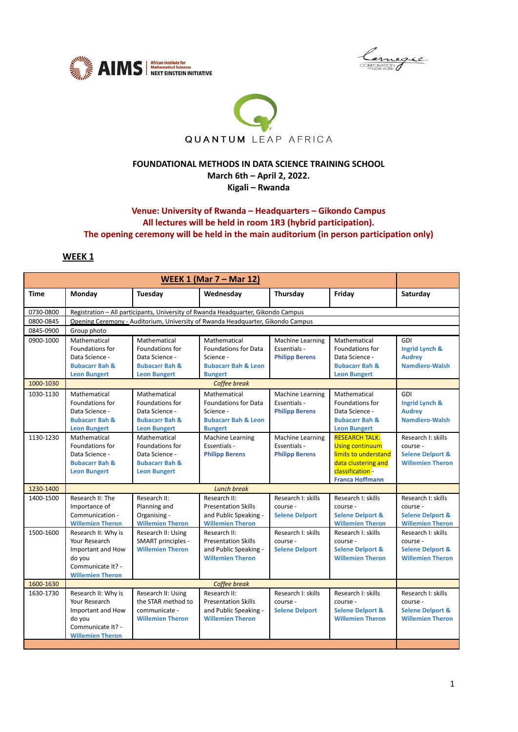





#### **FOUNDATIONAL METHODS IN DATA SCIENCE TRAINING SCHOOL March 6th – April 2, 2022. Kigali – Rwanda**

### **Venue: University of Rwanda – Headquarters – Gikondo Campus All lectures will be held in room 1R3 (hybrid participation). The opening ceremony will be held in the main auditorium (in person participation only)**

## **WEEK 1**

| <b>WEEK 1 (Mar 7 – Mar 12)</b> |                                                                                                                     |                                                                                                       |                                                                                                              |                                                                  |                                                                                                                                              |                                                                                          |  |  |
|--------------------------------|---------------------------------------------------------------------------------------------------------------------|-------------------------------------------------------------------------------------------------------|--------------------------------------------------------------------------------------------------------------|------------------------------------------------------------------|----------------------------------------------------------------------------------------------------------------------------------------------|------------------------------------------------------------------------------------------|--|--|
| Time                           | Monday                                                                                                              | <b>Tuesday</b>                                                                                        | Wednesday                                                                                                    | Thursday                                                         | Friday                                                                                                                                       | Saturday                                                                                 |  |  |
| 0730-0800                      |                                                                                                                     | Registration - All participants, University of Rwanda Headquarter, Gikondo Campus                     |                                                                                                              |                                                                  |                                                                                                                                              |                                                                                          |  |  |
| 0800-0845                      |                                                                                                                     | Opening Ceremony - Auditorium, University of Rwanda Headquarter, Gikondo Campus                       |                                                                                                              |                                                                  |                                                                                                                                              |                                                                                          |  |  |
| 0845-0900                      | Group photo                                                                                                         |                                                                                                       |                                                                                                              |                                                                  |                                                                                                                                              |                                                                                          |  |  |
| 0900-1000                      | Mathematical<br>Foundations for<br>Data Science -<br><b>Bubacarr Bah &amp;</b><br><b>Leon Bungert</b>               | Mathematical<br>Foundations for<br>Data Science -<br><b>Bubacarr Bah &amp;</b><br><b>Leon Bungert</b> | Mathematical<br><b>Foundations for Data</b><br>Science -<br><b>Bubacarr Bah &amp; Leon</b><br><b>Bungert</b> | <b>Machine Learning</b><br>Essentials -<br><b>Philipp Berens</b> | Mathematical<br>Foundations for<br>Data Science -<br><b>Bubacarr Bah &amp;</b><br><b>Leon Bungert</b>                                        | GDI<br>Ingrid Lynch &<br><b>Audrey</b><br><b>Namdiero-Walsh</b>                          |  |  |
| 1000-1030                      |                                                                                                                     |                                                                                                       | Coffee break                                                                                                 |                                                                  |                                                                                                                                              |                                                                                          |  |  |
| 1030-1130                      | Mathematical<br>Foundations for<br>Data Science -<br><b>Bubacarr Bah &amp;</b><br><b>Leon Bungert</b>               | Mathematical<br>Foundations for<br>Data Science -<br><b>Bubacarr Bah &amp;</b><br><b>Leon Bungert</b> | Mathematical<br><b>Foundations for Data</b><br>Science -<br><b>Bubacarr Bah &amp; Leon</b><br><b>Bungert</b> | Machine Learning<br>Essentials -<br><b>Philipp Berens</b>        | Mathematical<br>Foundations for<br>Data Science -<br><b>Bubacarr Bah &amp;</b><br><b>Leon Bungert</b>                                        | GDI<br>Ingrid Lynch &<br><b>Audrey</b><br><b>Namdiero-Walsh</b>                          |  |  |
| 1130-1230                      | Mathematical<br>Foundations for<br>Data Science -<br><b>Bubacarr Bah &amp;</b><br><b>Leon Bungert</b>               | Mathematical<br>Foundations for<br>Data Science -<br><b>Bubacarr Bah &amp;</b><br><b>Leon Bungert</b> | Machine Learning<br>Essentials -<br><b>Philipp Berens</b>                                                    | Machine Learning<br>Essentials -<br><b>Philipp Berens</b>        | <b>RESEARCH TALK:</b><br><b>Using continuum</b><br>limits to understand<br>data clustering and<br>classification -<br><b>Franca Hoffmann</b> | Research I: skills<br>course -<br><b>Selene Delport &amp;</b><br><b>Willemien Theron</b> |  |  |
| 1230-1400                      |                                                                                                                     | <b>Lunch break</b>                                                                                    |                                                                                                              |                                                                  |                                                                                                                                              |                                                                                          |  |  |
| 1400-1500                      | Research II: The<br>Importance of<br>Communication -<br><b>Willemien Theron</b>                                     | Research II:<br>Planning and<br>Organising -<br><b>Willemien Theron</b>                               | Research II:<br><b>Presentation Skills</b><br>and Public Speaking -<br><b>Willemien Theron</b>               | Research I: skills<br>course -<br><b>Selene Delport</b>          | Research I: skills<br>course -<br><b>Selene Delport &amp;</b><br><b>Willemien Theron</b>                                                     | Research I: skills<br>course -<br><b>Selene Delport &amp;</b><br><b>Willemien Theron</b> |  |  |
| 1500-1600                      | Research II: Why is<br>Your Research<br>Important and How<br>do you<br>Communicate It? -<br><b>Willemien Theron</b> | Research II: Using<br>SMART principles -<br><b>Willemien Theron</b>                                   | Research II:<br><b>Presentation Skills</b><br>and Public Speaking -<br><b>Willemien Theron</b>               | Research I: skills<br>course -<br><b>Selene Delport</b>          | Research I: skills<br>course -<br><b>Selene Delport &amp;</b><br><b>Willemien Theron</b>                                                     | Research I: skills<br>course -<br><b>Selene Delport &amp;</b><br><b>Willemien Theron</b> |  |  |
| 1600-1630                      | Coffee break                                                                                                        |                                                                                                       |                                                                                                              |                                                                  |                                                                                                                                              |                                                                                          |  |  |
| 1630-1730                      | Research II: Why is<br>Your Research<br>Important and How<br>do you<br>Communicate It? -<br><b>Willemien Theron</b> | Research II: Using<br>the STAR method to<br>communicate -<br><b>Willemien Theron</b>                  | Research II:<br><b>Presentation Skills</b><br>and Public Speaking -<br><b>Willemien Theron</b>               | Research I: skills<br>course -<br><b>Selene Delport</b>          | Research I: skills<br>course -<br><b>Selene Delport &amp;</b><br><b>Willemien Theron</b>                                                     | Research I: skills<br>course -<br><b>Selene Delport &amp;</b><br><b>Willemien Theron</b> |  |  |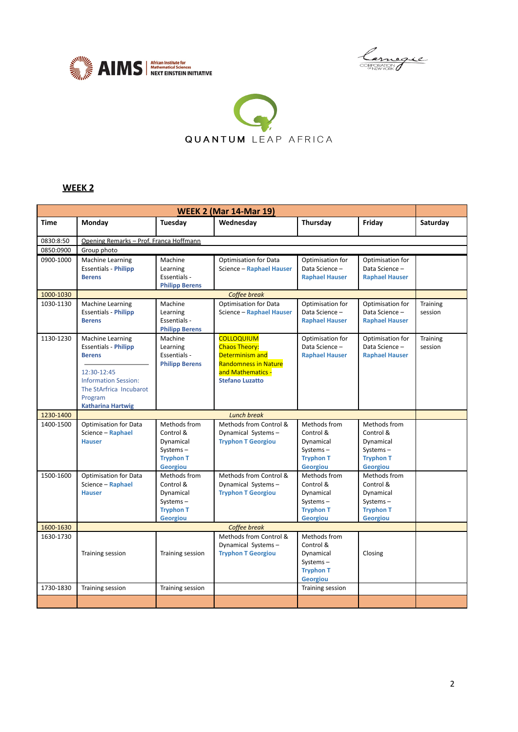





# **WEEK 2**

| <b>WEEK 2 (Mar 14-Mar 19)</b> |                                                                                                                                                                                  |                                                                                           |                                                                                                                                            |                                                                                           |                                                                                           |                            |  |
|-------------------------------|----------------------------------------------------------------------------------------------------------------------------------------------------------------------------------|-------------------------------------------------------------------------------------------|--------------------------------------------------------------------------------------------------------------------------------------------|-------------------------------------------------------------------------------------------|-------------------------------------------------------------------------------------------|----------------------------|--|
| <b>Time</b>                   | Monday                                                                                                                                                                           | Tuesday                                                                                   | Wednesday                                                                                                                                  | Thursday                                                                                  | Friday                                                                                    | Saturday                   |  |
| 0830:8:50                     | Opening Remarks - Prof. Franca Hoffmann                                                                                                                                          |                                                                                           |                                                                                                                                            |                                                                                           |                                                                                           |                            |  |
| 0850:0900                     | Group photo                                                                                                                                                                      |                                                                                           |                                                                                                                                            |                                                                                           |                                                                                           |                            |  |
| 0900-1000                     | Machine Learning<br><b>Essentials - Philipp</b><br><b>Berens</b>                                                                                                                 | Machine<br>Learning<br>Essentials -<br><b>Philipp Berens</b>                              | <b>Optimisation for Data</b><br>Science - Raphael Hauser                                                                                   | Optimisation for<br>Data Science -<br><b>Raphael Hauser</b>                               | Optimisation for<br>Data Science-<br><b>Raphael Hauser</b>                                |                            |  |
| 1000-1030                     |                                                                                                                                                                                  |                                                                                           | Coffee break                                                                                                                               |                                                                                           |                                                                                           |                            |  |
| 1030-1130                     | Machine Learning<br><b>Essentials - Philipp</b><br><b>Berens</b>                                                                                                                 | Machine<br>Learning<br>Essentials -<br><b>Philipp Berens</b>                              | <b>Optimisation for Data</b><br>Science - Raphael Hauser                                                                                   | Optimisation for<br>Data Science -<br><b>Raphael Hauser</b>                               | Optimisation for<br>Data Science-<br><b>Raphael Hauser</b>                                | Training<br>session        |  |
| 1130-1230                     | Machine Learning<br><b>Essentials - Philipp</b><br><b>Berens</b><br>12:30-12:45<br><b>Information Session:</b><br>The StArfrica Incubarot<br>Program<br><b>Katharina Hartwig</b> | Machine<br>Learning<br>Essentials -<br><b>Philipp Berens</b>                              | <b>COLLOQUIUM</b><br><b>Chaos Theory:</b><br>Determinism and<br><b>Randomness in Nature</b><br>and Mathematics -<br><b>Stefano Luzatto</b> | Optimisation for<br>Data Science -<br><b>Raphael Hauser</b>                               | Optimisation for<br>Data Science-<br><b>Raphael Hauser</b>                                | <b>Training</b><br>session |  |
| 1230-1400                     |                                                                                                                                                                                  |                                                                                           | <b>Lunch break</b>                                                                                                                         |                                                                                           |                                                                                           |                            |  |
| 1400-1500                     | <b>Optimisation for Data</b><br>Science - Raphael<br><b>Hauser</b>                                                                                                               | Methods from<br>Control &<br>Dynamical<br>Systems-<br><b>Tryphon T</b><br><b>Georgiou</b> | Methods from Control &<br>Dynamical Systems-<br><b>Tryphon T Georgiou</b>                                                                  | Methods from<br>Control &<br>Dynamical<br>Systems-<br><b>Tryphon T</b><br><b>Georgiou</b> | Methods from<br>Control &<br>Dynamical<br>Systems-<br><b>Tryphon T</b><br><b>Georgiou</b> |                            |  |
| 1500-1600                     | <b>Optimisation for Data</b><br>Science - Raphael<br><b>Hauser</b>                                                                                                               | Methods from<br>Control &<br>Dynamical<br>Systems-<br><b>Tryphon T</b><br><b>Georgiou</b> | Methods from Control &<br>Dynamical Systems-<br><b>Tryphon T Georgiou</b>                                                                  | Methods from<br>Control &<br>Dynamical<br>Systems-<br><b>Tryphon T</b><br><b>Georgiou</b> | Methods from<br>Control &<br>Dynamical<br>Systems-<br><b>Tryphon T</b><br><b>Georgiou</b> |                            |  |
| 1600-1630                     |                                                                                                                                                                                  |                                                                                           | Coffee break                                                                                                                               |                                                                                           |                                                                                           |                            |  |
| 1630-1730                     | Training session                                                                                                                                                                 | Training session                                                                          | Methods from Control &<br>Dynamical Systems-<br><b>Tryphon T Georgiou</b>                                                                  | Methods from<br>Control &<br>Dynamical<br>Systems-<br><b>Tryphon T</b><br>Georgiou        | Closing                                                                                   |                            |  |
| 1730-1830                     | Training session                                                                                                                                                                 | Training session                                                                          |                                                                                                                                            | Training session                                                                          |                                                                                           |                            |  |
|                               |                                                                                                                                                                                  |                                                                                           |                                                                                                                                            |                                                                                           |                                                                                           |                            |  |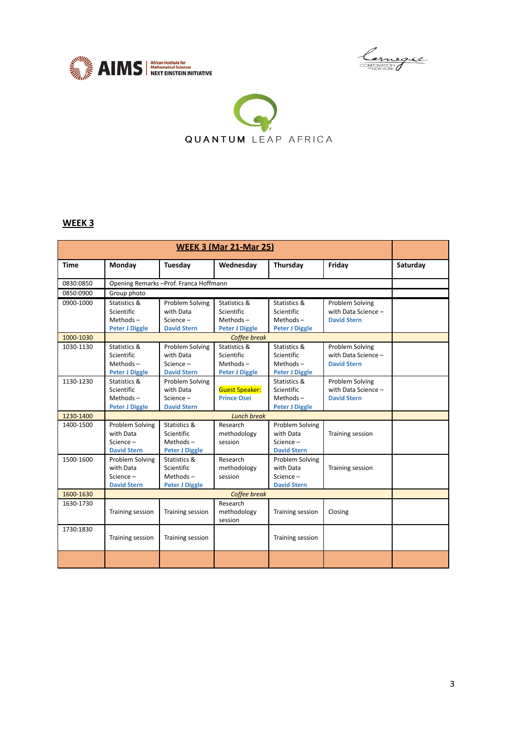





## **WEEK 3**

| <b>WEEK 3 (Mar 21-Mar 25)</b> |                       |                                         |                       |                       |                     |          |
|-------------------------------|-----------------------|-----------------------------------------|-----------------------|-----------------------|---------------------|----------|
| <b>Time</b>                   | Monday                | Tuesday                                 | Wednesday             | Thursday              | Friday              | Saturday |
| 0830:0850                     |                       | Opening Remarks - Prof. Franca Hoffmann |                       |                       |                     |          |
| 0850:0900                     | Group photo           |                                         |                       |                       |                     |          |
| 0900-1000                     | Statistics &          | Problem Solving                         | Statistics &          | Statistics &          | Problem Solving     |          |
|                               | Scientific            | with Data                               | Scientific            | Scientific            | with Data Science - |          |
|                               | Methods $-$           | $Science -$                             | $Methods -$           | $Methods -$           | <b>David Stern</b>  |          |
|                               | <b>Peter J Diggle</b> | <b>David Stern</b>                      | <b>Peter J Diggle</b> | <b>Peter J Diggle</b> |                     |          |
| 1000-1030                     |                       |                                         | Coffee break          |                       |                     |          |
| 1030-1130                     | Statistics &          | Problem Solving                         | Statistics &          | Statistics &          | Problem Solving     |          |
|                               | Scientific            | with Data                               | Scientific            | Scientific            | with Data Science - |          |
|                               | Methods $-$           | Science-                                | $Methods -$           | $Methods -$           | <b>David Stern</b>  |          |
|                               | <b>Peter J Diggle</b> | <b>David Stern</b>                      | <b>Peter J Diggle</b> | <b>Peter J Diggle</b> |                     |          |
| 1130-1230                     | Statistics &          | Problem Solving                         |                       | Statistics &          | Problem Solving     |          |
|                               | Scientific            | with Data                               | <b>Guest Speaker:</b> | Scientific            | with Data Science - |          |
|                               | Methods $-$           | $Science -$                             | <b>Prince Osei</b>    | Methods $-$           | <b>David Stern</b>  |          |
|                               | <b>Peter J Diggle</b> | <b>David Stern</b>                      |                       | <b>Peter J Diggle</b> |                     |          |
| 1230-1400                     |                       |                                         | <b>Lunch break</b>    |                       |                     |          |
| 1400-1500                     | Problem Solving       | Statistics &                            | Research              | Problem Solving       |                     |          |
|                               | with Data             | <b>Scientific</b>                       | methodology           | with Data             | Training session    |          |
|                               | Science -             | Methods $-$                             | session               | Science -             |                     |          |
|                               | <b>David Stern</b>    | <b>Peter J Diggle</b>                   |                       | <b>David Stern</b>    |                     |          |
| 1500-1600                     | Problem Solving       | Statistics &                            | Research              | Problem Solving       |                     |          |
|                               | with Data             | Scientific                              | methodology           | with Data             | Training session    |          |
|                               | $Science -$           | Methods $-$                             | session               | $Science -$           |                     |          |
|                               | <b>David Stern</b>    | <b>Peter J Diggle</b>                   |                       | <b>David Stern</b>    |                     |          |
| 1600-1630                     | Coffee break          |                                         |                       |                       |                     |          |
| 1630-1730                     |                       |                                         | Research              |                       |                     |          |
|                               | Training session      | Training session                        | methodology           | Training session      | Closing             |          |
|                               |                       |                                         | session               |                       |                     |          |
| 1730:1830                     | Training session      | Training session                        |                       | Training session      |                     |          |
|                               |                       |                                         |                       |                       |                     |          |
|                               |                       |                                         |                       |                       |                     |          |
|                               |                       |                                         |                       |                       |                     |          |